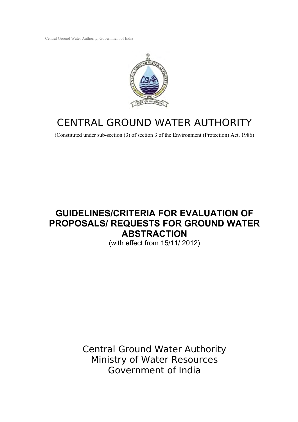Central Ground Water Authority, Government of India



# CENTRAL GROUND WATER AUTHORITY

(Constituted under sub-section (3) of section 3 of the Environment (Protection) Act, 1986)

## **GUIDELINES/CRITERIA FOR EVALUATION OF PROPOSALS/ REQUESTS FOR GROUND WATER ABSTRACTION**

(with effect from 15/11/ 2012)

Central Ground Water Authority Ministry of Water Resources Government of India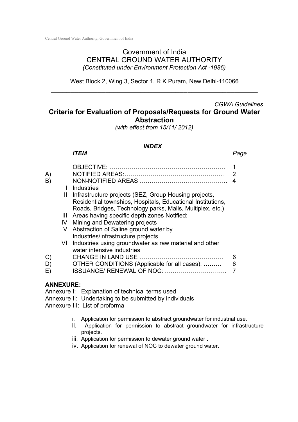### Government of India CENTRAL GROUND WATER AUTHORITY *(Constituted under Environment Protection Act -1986)*

West Block 2, Wing 3, Sector 1, R K Puram, New Delhi-110066 **\_\_\_\_\_\_\_\_\_\_\_\_\_\_\_\_\_\_\_\_\_\_\_\_\_\_\_\_\_\_\_\_\_\_\_\_\_\_\_\_\_\_\_\_\_\_\_\_\_\_\_\_\_**

## *CGWA Guidelines* **Criteria for Evaluation of Proposals/Requests for Ground Water Abstraction**

*(with effect from 15/11/ 2012)*

#### *INDEX*

## *ITEM Page*

| A)           |    |                                                             | 2 |
|--------------|----|-------------------------------------------------------------|---|
| B)           |    |                                                             | 4 |
|              |    | Industries                                                  |   |
|              | Ш  | Infrastructure projects (SEZ, Group Housing projects,       |   |
|              |    | Residential townships, Hospitals, Educational Institutions, |   |
|              |    | Roads, Bridges, Technology parks, Malls, Multiplex, etc.)   |   |
|              | Ш  | Areas having specific depth zones Notified:                 |   |
|              | IV | Mining and Dewatering projects                              |   |
|              | V  | Abstraction of Saline ground water by                       |   |
|              |    | Industries/infrastructure projects                          |   |
|              |    | VI Industries using groundwater as raw material and other   |   |
|              |    | water intensive industries                                  |   |
| $\mathbf{C}$ |    | <b>CHANGE IN LAND USE</b>                                   | 6 |
| D)           |    | OTHER CONDITIONS (Applicable for all cases):                | 6 |
| E)           |    | <b>ISSUANCE/ RENEWAL OF NOC:</b>                            |   |
|              |    |                                                             |   |

## **ANNEXURE:**

Annexure I: Explanation of technical terms used

Annexure II: Undertaking to be submitted by individuals

Annexure III: List of proforma

- i. Application for permission to abstract groundwater for industrial use.
- ii. Application for permission to abstract groundwater for infrastructure projects.
- iii. Application for permission to dewater ground water.
- iv. Application for renewal of NOC to dewater ground water.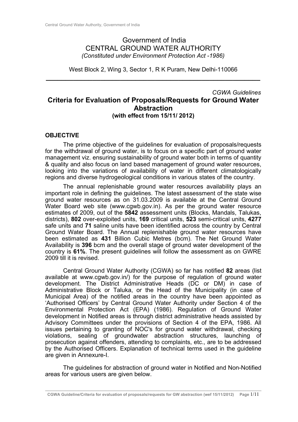## Government of India CENTRAL GROUND WATER AUTHORITY *(Constituted under Environment Protection Act -1986)*

West Block 2, Wing 3, Sector 1, R K Puram, New Delhi-110066 **\_\_\_\_\_\_\_\_\_\_\_\_\_\_\_\_\_\_\_\_\_\_\_\_\_\_\_\_\_\_\_\_\_\_\_\_\_\_\_\_\_\_\_\_\_\_\_\_\_\_\_\_\_\_\_**

### *CGWA Guidelines* **Criteria for Evaluation of Proposals/Requests for Ground Water Abstraction (with effect from 15/11/ 2012)**

#### **OBJECTIVE**

The prime objective of the guidelines for evaluation of proposals/requests for the withdrawal of ground water, is to focus on a specific part of ground water management viz. ensuring sustainability of ground water both in terms of quantity & quality and also focus on land based management of ground water resources, looking into the variations of availability of water in different climatologically regions and diverse hydrogeological conditions in various states of the country.

The annual replenishable ground water resources availability plays an important role in defining the guidelines. The latest assessment of the state wise ground water resources as on 31.03.2009 is available at the Central Ground Water Board web site (www.cgwb.gov.in). As per the ground water resource estimates of 2009, out of the **5842** assessment units (Blocks, Mandals, Talukas, districts), **802** over-exploited units, **169** critical units, **523** semi-critical units, **4277** safe units and **71** saline units have been identified across the country by Central Ground Water Board. The Annual replenishable ground water resources have been estimated as **431** Billion Cubic Metres (bcm). The Net Ground Water Availability is **396** bcm and the overall stage of ground water development of the country is **61%**. The present guidelines will follow the assessment as on GWRE 2009 till it is revised.

Central Ground Water Authority (CGWA) so far has notified **82** areas (list available at www.cgwb.gov.in/) for the purpose of regulation of ground water development. The District Administrative Heads (DC or DM) in case of Administrative Block or Taluka, or the Head of the Municipality (in case of Municipal Area) of the notified areas in the country have been appointed as 'Authorised Officers' by Central Ground Water Authority under Section 4 of the Environmental Protection Act (EPA) (1986). Regulation of Ground Water development in Notified areas is through district administrative heads assisted by Advisory Committees under the provisions of Section 4 of the EPA, 1986. All issues pertaining to granting of NOC's for ground water withdrawal, checking violations, sealing of groundwater abstraction structures, launching of prosecution against offenders, attending to complaints, etc., are to be addressed by the Authorised Officers. Explanation of technical terms used in the guideline are given in Annexure-I.

The guidelines for abstraction of ground water in Notified and Non-Notified areas for various users are given below.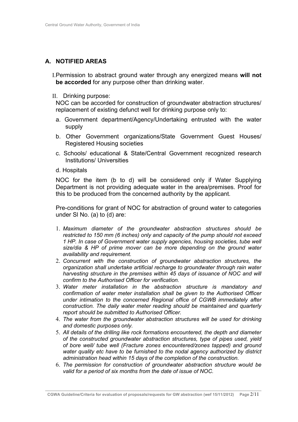## **A. NOTIFIED AREAS**

I.Permission to abstract ground water through any energized means **will not be accorded** for any purpose other than drinking water.

II. Drinking purpose:

NOC can be accorded for construction of groundwater abstraction structures/ replacement of existing defunct well for drinking purpose only to:

- a. Government department/Agency/Undertaking entrusted with the water supply
- b. Other Government organizations/State Government Guest Houses/ Registered Housing societies
- c. Schools/ educational & State/Central Government recognized research Institutions/ Universities
- d. Hospitals

NOC for the item (b to d) will be considered only if Water Supplying Department is not providing adequate water in the area/premises. Proof for this to be produced from the concerned authority by the applicant.

Pre-conditions for grant of NOC for abstraction of ground water to categories under Sl No. (a) to (d) are:

- 1. *Maximum diameter of the groundwater abstraction structures should be restricted to 150 mm (6 inches) only and capacity of the pump should not exceed 1 HP. In case of Government water supply agencies, housing societies, tube well size/dia & HP of prime mover can be more depending on the ground water availability and requirement.*
- 2. *Concurrent with the construction of groundwater abstraction structures, the organization shall undertake artificial recharge to groundwater through rain water harvesting structure in the premises within 45 days of issuance of NOC and will confirm to the Authorised Officer for verification.*
- 3. *Water meter installation in the abstraction structure is mandatory and confirmation of water meter installation shall be given to the Authorised Officer under intimation to the concerned Regional office of CGWB immediately after construction. The daily water meter reading should be maintained and quarterly report should be submitted to Authorised Officer.*
- 4. *The water from the groundwater abstraction structures will be used for drinking and domestic purposes only.*
- 5. *All details of the drilling like rock formations encountered, the depth and diameter of the constructed groundwater abstraction structures, type of pipes used, yield of bore well/ tube well (Fracture zones encountered/zones tapped) and ground water quality etc have to be furnished to the nodal agency authorized by district administration head within 15 days of the completion of the construction.*
- 6. *The permission for construction of groundwater abstraction structure would be valid for a period of six months from the date of issue of NOC.*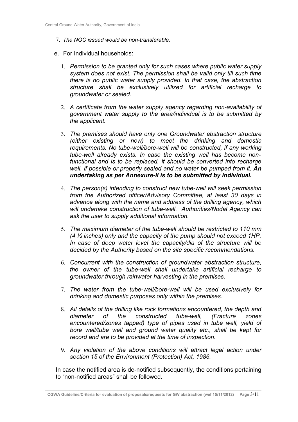- 7. *The NOC issued would be non-transferable.*
- e. For Individual households:
	- 1. *Permission to be granted only for such cases where public water supply system does not exist. The permission shall be valid only till such time there is no public water supply provided. In that case, the abstraction structure shall be exclusively utilized for artificial recharge to groundwater or sealed.*
	- 2. *A certificate from the water supply agency regarding non-availability of government water supply to the area/individual is to be submitted by the applicant.*
	- 3. *The premises should have only one Groundwater abstraction structure (either existing or new) to meet the drinking and domestic requirements. No tube-well/bore-well will be constructed, if any working tube-well already exists. In case the existing well has become nonfunctional and is to be replaced, it should be converted into recharge well, if possible or properly sealed and no water be pumped from it. An undertaking as per Annexure-II is to be submitted by individual.*
	- 4. *The person(s) intending to construct new tube-well will seek permission from the Authorized officer/Advisory Committee, at least 30 days in advance along with the name and address of the drilling agency, which will undertake construction of tube-well. Authorities/Nodal Agency can ask the user to supply additional information.*
	- 5. *The maximum diameter of the tube-well should be restricted to 110 mm (4 ½ inches) only and the capacity of the pump should not exceed 1HP. In case of deep water level the capacity/dia of the structure will be decided by the Authority based on the site specific recommendations.*
	- 6. *Concurrent with the construction of groundwater abstraction structure, the owner of the tube-well shall undertake artificial recharge to groundwater through rainwater harvesting in the premises.*
	- 7. *The water from the tube-well/bore-well will be used exclusively for drinking and domestic purposes only within the premises.*
	- 8. *All details of the drilling like rock formations encountered, the depth and diameter of the constructed tube-well, (Fracture zones encountered/zones tapped) type of pipes used in tube well, yield of bore well/tube well and ground water quality etc., shall be kept for record and are to be provided at the time of inspection.*
	- 9. *Any violation of the above conditions will attract legal action under section 15 of the Environment (Protection) Act, 1986.*

In case the notified area is de-notified subsequently, the conditions pertaining to "non-notified areas" shall be followed.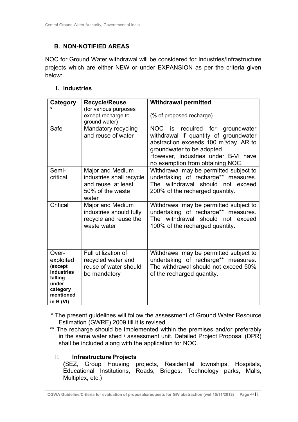## **B. NON-NOTIFIED AREAS**

NOC for Ground Water withdrawal will be considered for Industries/Infrastructure projects which are either NEW or under EXPANSION as per the criteria given below:

## **I. Industries**

| Category                                                                                                  | <b>Recycle/Reuse</b><br>(for various purposes<br>except recharge to<br>ground water)            | <b>Withdrawal permitted</b><br>(% of proposed recharge)                                                                                                                                                                                 |
|-----------------------------------------------------------------------------------------------------------|-------------------------------------------------------------------------------------------------|-----------------------------------------------------------------------------------------------------------------------------------------------------------------------------------------------------------------------------------------|
| Safe                                                                                                      | Mandatory recycling<br>and reuse of water                                                       | NOC is required for groundwater<br>withdrawal if quantity of groundwater<br>abstraction exceeds 100 m <sup>3</sup> /day. AR to<br>groundwater to be adopted.<br>However, Industries under B-VI have<br>no exemption from obtaining NOC. |
| Semi-<br>critical                                                                                         | Major and Medium<br>industries shall recycle<br>and reuse at least<br>50% of the waste<br>water | Withdrawal may be permitted subject to<br>undertaking of recharge** measures.<br>The withdrawal should not exceed<br>200% of the recharged quantity.                                                                                    |
| Critical                                                                                                  | Major and Medium<br>industries should fully<br>recycle and reuse the<br>waste water             | Withdrawal may be permitted subject to<br>undertaking of recharge** measures.<br>The withdrawal should not exceed<br>100% of the recharged quantity.                                                                                    |
| Over-<br>exploited<br>(except<br>industries<br>falling<br>under<br>category<br>mentioned<br>in $B (VI)$ . | Full utilization of<br>recycled water and<br>reuse of water should<br>be mandatory              | Withdrawal may be permitted subject to<br>undertaking of recharge** measures.<br>The withdrawal should not exceed 50%<br>of the recharged quantity.                                                                                     |

- \* The present guidelines will follow the assessment of Ground Water Resource Estimation (GWRE) 2009 till it is revised.
- \*\* The recharge should be implemented within the premises and/or preferably in the same water shed / assessment unit. Detailed Project Proposal (DPR) shall be included along with the application for NOC.

## II. **Infrastructure Projects**

**(**SEZ, Group Housing projects, Residential townships, Hospitals, Educational Institutions, Roads, Bridges, Technology parks, Malls, Multiplex, etc.)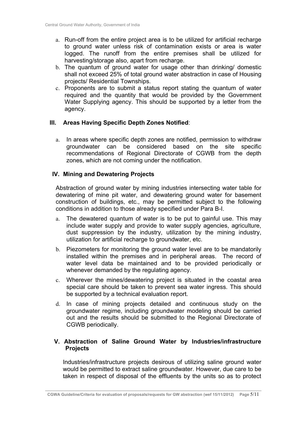- a. Run-off from the entire project area is to be utilized for artificial recharge to ground water unless risk of contamination exists or area is water logged. The runoff from the entire premises shall be utilized for harvesting/storage also, apart from recharge.
- b. The quantum of ground water for usage other than drinking/ domestic shall not exceed 25% of total ground water abstraction in case of Housing projects/ Residential Townships.
- c. Proponents are to submit a status report stating the quantum of water required and the quantity that would be provided by the Government Water Supplying agency. This should be supported by a letter from the agency.

#### **III. Areas Having Specific Depth Zones Notified**:

a. In areas where specific depth zones are notified, permission to withdraw groundwater can be considered based on the site specific recommendations of Regional Directorate of CGWB from the depth zones, which are not coming under the notification.

#### **IV. Mining and Dewatering Projects**

Abstraction of ground water by mining industries intersecting water table for dewatering of mine pit water, and dewatering ground water for basement construction of buildings, etc., may be permitted subject to the following conditions in addition to those already specified under Para B-I.

- a. The dewatered quantum of water is to be put to gainful use. This may include water supply and provide to water supply agencies, agriculture, dust suppression by the industry, utilization by the mining industry, utilization for artificial recharge to groundwater, etc.
- b. Piezometers for monitoring the ground water level are to be mandatorily installed within the premises and in peripheral areas. The record of water level data be maintained and to be provided periodically or whenever demanded by the regulating agency.
- c. Wherever the mines/dewatering project is situated in the coastal area special care should be taken to prevent sea water ingress. This should be supported by a technical evaluation report.
- d. In case of mining projects detailed and continuous study on the groundwater regime, including groundwater modeling should be carried out and the results should be submitted to the Regional Directorate of CGWB periodically.

#### **V. Abstraction of Saline Ground Water by Industries/infrastructure Projects**

Industries/infrastructure projects desirous of utilizing saline ground water would be permitted to extract saline groundwater. However, due care to be taken in respect of disposal of the effluents by the units so as to protect

**\_\_\_\_\_\_\_\_\_\_\_\_\_\_\_\_\_\_\_\_\_\_\_\_\_\_\_\_\_\_\_\_\_\_\_\_\_\_\_\_\_\_\_\_\_\_\_\_\_\_\_\_\_\_\_\_\_\_\_\_\_\_\_\_\_\_\_\_\_\_\_\_\_\_\_\_\_\_\_\_\_\_\_\_\_\_\_\_\_\_\_\_\_\_\_\_\_ CGWA Guideline/Criteria for evaluation of proposals/requests for GW abstraction (wef 15/11/2012) Page** 5/11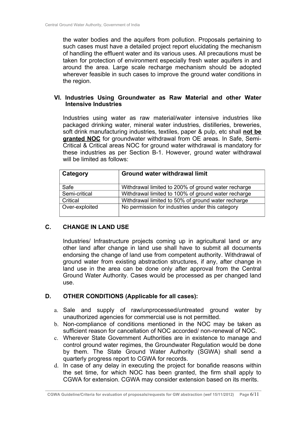the water bodies and the aquifers from pollution. Proposals pertaining to such cases must have a detailed project report elucidating the mechanism of handling the effluent water and its various uses. All precautions must be taken for protection of environment especially fresh water aquifers in and around the area. Large scale recharge mechanism should be adopted wherever feasible in such cases to improve the ground water conditions in the region.

#### **VI. Industries Using Groundwater as Raw Material and other Water Intensive Industries**

Industries using water as raw material/water intensive industries like packaged drinking water, mineral water industries, distilleries, breweries, soft drink manufacturing industries, textiles, paper & pulp, etc shall **not be granted NOC** for groundwater withdrawal from OE areas. In Safe, Semi-Critical & Critical areas NOC for ground water withdrawal is mandatory for these industries as per Section B-1. However, ground water withdrawal will be limited as follows:

| Category       | <b>Ground water withdrawal limit</b>                |
|----------------|-----------------------------------------------------|
| Safe           | Withdrawal limited to 200% of ground water recharge |
| Semi-critical  | Withdrawal limited to 100% of ground water recharge |
| Critical       | Withdrawal limited to 50% of ground water recharge  |
| Over-exploited | No permission for industries under this category    |

#### **C. CHANGE IN LAND USE**

Industries/ Infrastructure projects coming up in agricultural land or any other land after change in land use shall have to submit all documents endorsing the change of land use from competent authority. Withdrawal of ground water from existing abstraction structures, if any, after change in land use in the area can be done only after approval from the Central Ground Water Authority. Cases would be processed as per changed land use.

## **D. OTHER CONDITIONS (Applicable for all cases):**

- a. Sale and supply of raw/unprocessed/untreated ground water by unauthorized agencies for commercial use is not permitted.
- b. Non-compliance of conditions mentioned in the NOC may be taken as sufficient reason for cancellation of NOC accorded/ non-renewal of NOC.
- c. Wherever State Government Authorities are in existence to manage and control ground water regimes, the Groundwater Regulation would be done by them. The State Ground Water Authority (SGWA) shall send a quarterly progress report to CGWA for records.
- d. In case of any delay in executing the project for bonafide reasons within the set time, for which NOC has been granted, the firm shall apply to CGWA for extension. CGWA may consider extension based on its merits.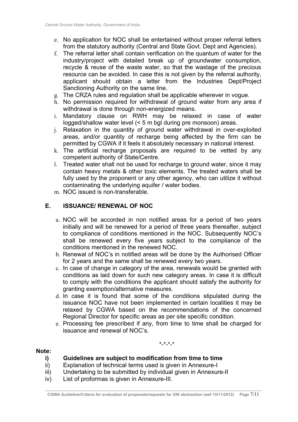- e. No application for NOC shall be entertained without proper referral letters from the statutory authority (Central and State Govt. Dept and Agencies).
- f. The referral letter shall contain verification on the quantum of water for the industry/project with detailed break up of groundwater consumption, recycle & reuse of the waste water, so that the wastage of the precious resource can be avoided. In case this is not given by the referral authority, applicant should obtain a letter from the Industries Dept/Project Sanctioning Authority on the same line.
- g. The CRZA rules and regulation shall be applicable wherever in vogue.
- h. No permission required for withdrawal of ground water from any area if withdrawal is done through non-energized means.
- i. Mandatory clause on RWH may be relaxed in case of water logged/shallow water level (< 5 m bgl during pre monsoon) areas.
- j. Relaxation in the quantity of ground water withdrawal in over-exploited areas, and/or quantity of recharge being affected by the firm can be permitted by CGWA if it feels it absolutely necessary in national interest.
- k. The artificial recharge proposals are required to be vetted by any competent authority of State/Centre.
- l. Treated water shall not be used for recharge to ground water, since it may contain heavy metals & other toxic elements. The treated waters shall be fully used by the proponent or any other agency, who can utilize it without contaminating the underlying aquifer / water bodies.
- m. NOC issued is non-transferable.

#### **E. ISSUANCE/ RENEWAL OF NOC**

- a. NOC will be accorded in non notified areas for a period of two years initially and will be renewed for a period of three years thereafter, subject to compliance of conditions mentioned in the NOC. Subsequently NOC's shall be renewed every five years subject to the compliance of the conditions mentioned in the renewed NOC.
- b. Renewal of NOC's in notified areas will be done by the Authorised Officer for 2 years and the same shall be renewed every two years.
- c. In case of change in category of the area, renewals would be granted with conditions as laid down for such new category areas. In case it is difficult to comply with the conditions the applicant should satisfy the authority for granting exemption/alternative measures.
- d. In case it is found that some of the conditions stipulated during the issuance NOC have not been implemented in certain localities it may be relaxed by CGWA based on the recommendations of the concerned Regional Director for specific areas as per site specific condition.
- e. Processing fee prescribed if any, from time to time shall be charged for issuance and renewal of NOC's.

\*-\*-\*-\*

#### **Note:**

#### **i) Guidelines are subject to modification from time to time**

- ii) Explanation of technical terms used is given in Annexure-I
- iii) Undertaking to be submitted by individual given in Annexure-II
- iv) List of proformas is given in Annexure-III.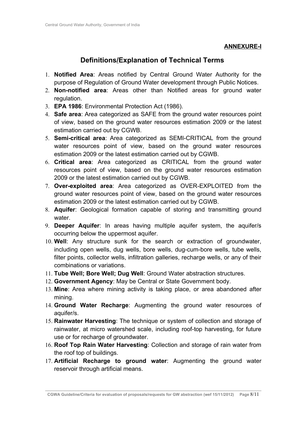#### **ANNEXURE-I**

## **Definitions/Explanation of Technical Terms**

- 1. **Notified Area**: Areas notified by Central Ground Water Authority for the purpose of Regulation of Ground Water development through Public Notices.
- 2. **Non-notified area**: Areas other than Notified areas for ground water regulation.
- 3. **EPA 1986**: Environmental Protection Act (1986).
- 4. **Safe area**: Area categorized as SAFE from the ground water resources point of view, based on the ground water resources estimation 2009 or the latest estimation carried out by CGWB.
- 5. **Semi-critical area**: Area categorized as SEMI-CRITICAL from the ground water resources point of view, based on the ground water resources estimation 2009 or the latest estimation carried out by CGWB.
- 6. **Critical area**: Area categorized as CRITICAL from the ground water resources point of view, based on the ground water resources estimation 2009 or the latest estimation carried out by CGWB.
- 7. **Over-exploited area**: Area categorized as OVER-EXPLOITED from the ground water resources point of view, based on the ground water resources estimation 2009 or the latest estimation carried out by CGWB.
- 8. **Aquifer**: Geological formation capable of storing and transmitting ground water
- 9. **Deeper Aquifer**: In areas having multiple aquifer system, the aquifer/s occurring below the uppermost aquifer.
- 10. **Well**: Any structure sunk for the search or extraction of groundwater, including open wells, dug wells, bore wells, dug-cum-bore wells, tube wells, filter points, collector wells, infiltration galleries, recharge wells, or any of their combinations or variations.
- 11. **Tube Well; Bore Well; Dug Well**: Ground Water abstraction structures.
- 12. **Government Agency**: May be Central or State Government body.
- 13. **Mine**: Area where mining activity is taking place, or area abandoned after mining.
- 14. **Ground Water Recharge**: Augmenting the ground water resources of aquifer/s.
- 15. **Rainwater Harvesting**: The technique or system of collection and storage of rainwater, at micro watershed scale, including roof-top harvesting, for future use or for recharge of groundwater.
- 16. **Roof Top Rain Water Harvesting**: Collection and storage of rain water from the roof top of buildings.
- 17. **Artificial Recharge to ground water**: Augmenting the ground water reservoir through artificial means.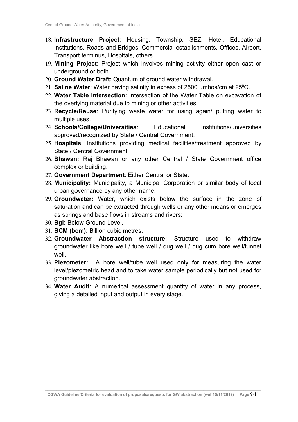- 18. **Infrastructure Project**: Housing, Township, SEZ, Hotel, Educational Institutions, Roads and Bridges, Commercial establishments, Offices, Airport, Transport terminus, Hospitals, others.
- 19. **Mining Project**: Project which involves mining activity either open cast or underground or both.
- 20. **Ground Water Draft**: Quantum of ground water withdrawal.
- 21. **Saline Water**: Water having salinity in excess of 2500 µmhos/cm at 25<sup>0</sup>C.
- 22. **Water Table Intersection**: Intersection of the Water Table on excavation of the overlying material due to mining or other activities.
- 23. **Recycle/Reuse**: Purifying waste water for using again/ putting water to multiple uses.
- 24. **Schools/College/Universities**: Educational Institutions/universities approved/recognized by State / Central Government.
- 25. **Hospitals**: Institutions providing medical facilities/treatment approved by State / Central Government.
- 26. **Bhawan:** Raj Bhawan or any other Central / State Government office complex or building.
- 27. **Government Department**: Either Central or State.
- 28. **Municipality:** Municipality, a Municipal Corporation or similar body of local urban governance by any other name.
- 29. **Groundwater:** Water, which exists below the surface in the zone of saturation and can be extracted through wells or any other means or emerges as springs and base flows in streams and rivers;
- 30. **Bgl:** Below Ground Level.
- 31. **BCM (bcm):** Billion cubic metres.
- 32. **Groundwater Abstraction structure:** Structure used to withdraw groundwater like bore well / tube well / dug well / dug cum bore well/tunnel well
- 33. **Piezometer:** A bore well/tube well used only for measuring the water level/piezometric head and to take water sample periodically but not used for groundwater abstraction.
- 34. **Water Audit:** A numerical assessment quantity of water in any process, giving a detailed input and output in every stage.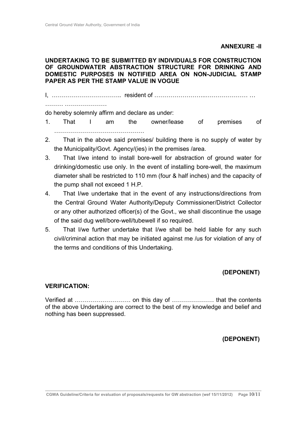#### **ANNEXURE -II**

#### **UNDERTAKING TO BE SUBMITTED BY INDIVIDUALS FOR CONSTRUCTION OF GROUNDWATER ABSTRACTION STRUCTURE FOR DRINKING AND DOMESTIC PURPOSES IN NOTIFIED AREA ON NON-JUDICIAL STAMP PAPER AS PER THE STAMP VALUE IN VOGUE**

I, …………………………….. resident of ……………………..………………… …

……… …………………

do hereby solemnly affirm and declare as under:

- 1. That I am the owner/lease of premises of ………………………………………
- 2. That in the above said premises/ building there is no supply of water by the Municipality/Govt. Agency/(ies) in the premises /area.
- 3. That I/we intend to install bore-well for abstraction of ground water for drinking/domestic use only. In the event of installing bore-well, the maximum diameter shall be restricted to 110 mm (four & half inches) and the capacity of the pump shall not exceed 1 H.P.
- 4. That I/we undertake that in the event of any instructions/directions from the Central Ground Water Authority/Deputy Commissioner/District Collector or any other authorized officer(s) of the Govt., we shall discontinue the usage of the said dug well/bore-well/tubewell if so required.
- 5. That I/we further undertake that I/we shall be held liable for any such civil/criminal action that may be initiated against me /us for violation of any of the terms and conditions of this Undertaking.

#### **(DEPONENT)**

#### **VERIFICATION:**

Verified at ………………………. on this day of ………………… that the contents of the above Undertaking are correct to the best of my knowledge and belief and nothing has been suppressed.

#### **(DEPONENT)**